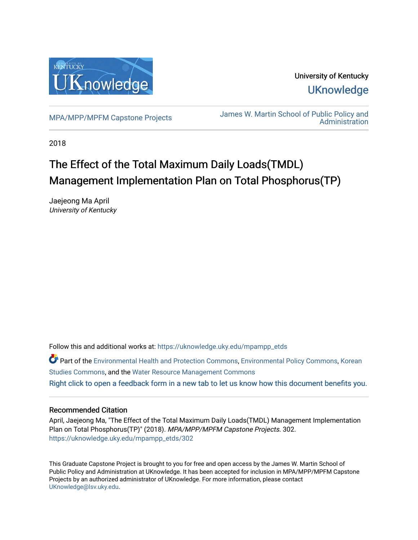

University of Kentucky **UKnowledge** 

[MPA/MPP/MPFM Capstone Projects](https://uknowledge.uky.edu/mpampp_etds) James W. Martin School of Public Policy and [Administration](https://uknowledge.uky.edu/msppa) 

2018

# The Effect of the Total Maximum Daily Loads(TMDL) Management Implementation Plan on Total Phosphorus(TP)

Jaejeong Ma April University of Kentucky

Follow this and additional works at: [https://uknowledge.uky.edu/mpampp\\_etds](https://uknowledge.uky.edu/mpampp_etds?utm_source=uknowledge.uky.edu%2Fmpampp_etds%2F302&utm_medium=PDF&utm_campaign=PDFCoverPages)

Part of the [Environmental Health and Protection Commons,](http://network.bepress.com/hgg/discipline/172?utm_source=uknowledge.uky.edu%2Fmpampp_etds%2F302&utm_medium=PDF&utm_campaign=PDFCoverPages) [Environmental Policy Commons,](http://network.bepress.com/hgg/discipline/1027?utm_source=uknowledge.uky.edu%2Fmpampp_etds%2F302&utm_medium=PDF&utm_campaign=PDFCoverPages) [Korean](http://network.bepress.com/hgg/discipline/1288?utm_source=uknowledge.uky.edu%2Fmpampp_etds%2F302&utm_medium=PDF&utm_campaign=PDFCoverPages) [Studies Commons,](http://network.bepress.com/hgg/discipline/1288?utm_source=uknowledge.uky.edu%2Fmpampp_etds%2F302&utm_medium=PDF&utm_campaign=PDFCoverPages) and the [Water Resource Management Commons](http://network.bepress.com/hgg/discipline/1057?utm_source=uknowledge.uky.edu%2Fmpampp_etds%2F302&utm_medium=PDF&utm_campaign=PDFCoverPages)  [Right click to open a feedback form in a new tab to let us know how this document benefits you.](https://uky.az1.qualtrics.com/jfe/form/SV_9mq8fx2GnONRfz7)

#### Recommended Citation

April, Jaejeong Ma, "The Effect of the Total Maximum Daily Loads(TMDL) Management Implementation Plan on Total Phosphorus(TP)" (2018). MPA/MPP/MPFM Capstone Projects. 302. [https://uknowledge.uky.edu/mpampp\\_etds/302](https://uknowledge.uky.edu/mpampp_etds/302?utm_source=uknowledge.uky.edu%2Fmpampp_etds%2F302&utm_medium=PDF&utm_campaign=PDFCoverPages)

This Graduate Capstone Project is brought to you for free and open access by the James W. Martin School of Public Policy and Administration at UKnowledge. It has been accepted for inclusion in MPA/MPP/MPFM Capstone Projects by an authorized administrator of UKnowledge. For more information, please contact [UKnowledge@lsv.uky.edu.](mailto:UKnowledge@lsv.uky.edu)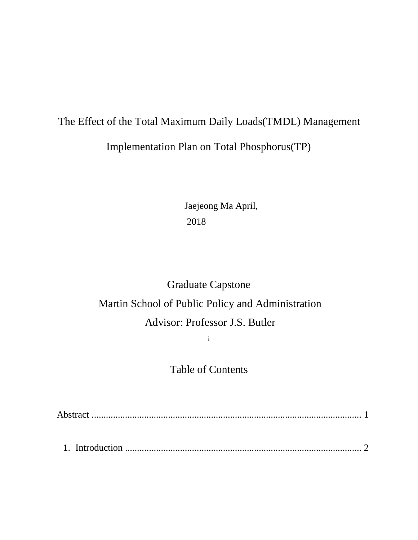# The Effect of the Total Maximum Daily Loads(TMDL) Management Implementation Plan on Total Phosphorus(TP)

Jaejeong Ma April, 2018

# Graduate Capstone Martin School of Public Policy and Administration Advisor: Professor J.S. Butler

i

Table of Contents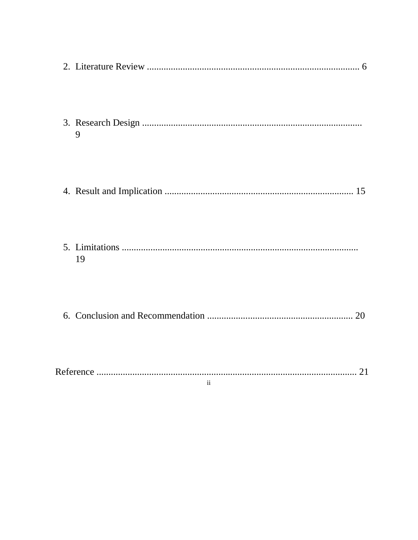| 9                       |
|-------------------------|
|                         |
| 19                      |
|                         |
|                         |
| $\overline{\mathbf{1}}$ |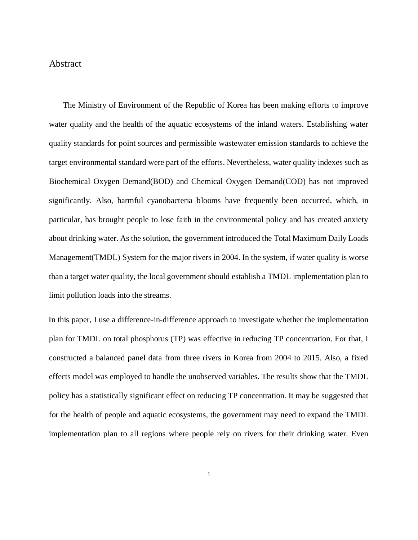#### Abstract

 The Ministry of Environment of the Republic of Korea has been making efforts to improve water quality and the health of the aquatic ecosystems of the inland waters. Establishing water quality standards for point sources and permissible wastewater emission standards to achieve the target environmental standard were part of the efforts. Nevertheless, water quality indexes such as Biochemical Oxygen Demand(BOD) and Chemical Oxygen Demand(COD) has not improved significantly. Also, harmful cyanobacteria blooms have frequently been occurred, which, in particular, has brought people to lose faith in the environmental policy and has created anxiety about drinking water. As the solution, the government introduced the Total Maximum Daily Loads Management(TMDL) System for the major rivers in 2004. In the system, if water quality is worse than a target water quality, the local government should establish a TMDL implementation plan to limit pollution loads into the streams.

In this paper, I use a difference-in-difference approach to investigate whether the implementation plan for TMDL on total phosphorus (TP) was effective in reducing TP concentration. For that, I constructed a balanced panel data from three rivers in Korea from 2004 to 2015. Also, a fixed effects model was employed to handle the unobserved variables. The results show that the TMDL policy has a statistically significant effect on reducing TP concentration. It may be suggested that for the health of people and aquatic ecosystems, the government may need to expand the TMDL implementation plan to all regions where people rely on rivers for their drinking water. Even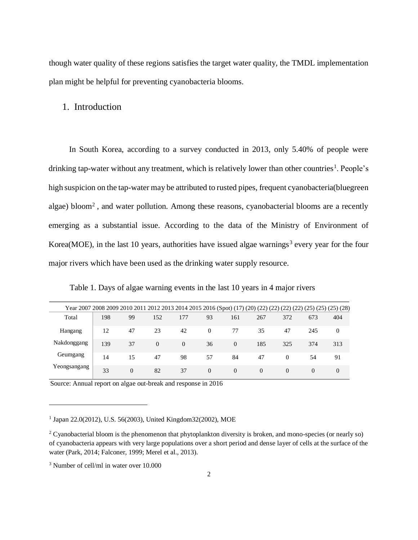though water quality of these regions satisfies the target water quality, the TMDL implementation plan might be helpful for preventing cyanobacteria blooms.

#### 1. Introduction

In South Korea, according to a survey conducted in 2013, only 5.40% of people were drinking tap-water without any treatment, which is relatively lower than other countries<sup>1</sup>. People's high suspicion on the tap-water may be attributed to rusted pipes, frequent cyanobacteria(bluegreen algae) bloom<sup>2</sup>, and water pollution. Among these reasons, cyanobacterial blooms are a recently emerging as a substantial issue. According to the data of the Ministry of Environment of Korea(MOE), in the last 10 years, authorities have issued algae warnings<sup>3</sup> every year for the four major rivers which have been used as the drinking water supply resource.

Table 1. Days of algae warning events in the last 10 years in 4 major rivers

| Year 2007 2008 2009 2010 2011 2012 2013 2014 2015 2016 (Spot) (17) (20) (22) (22) (22) (22) (25) (25) (25) (28) |     |          |          |          |          |          |          |          |          |          |
|-----------------------------------------------------------------------------------------------------------------|-----|----------|----------|----------|----------|----------|----------|----------|----------|----------|
| Total                                                                                                           | 198 | 99       | 152      | 177      | 93       | 161      | 267      | 372      | 673      | 404      |
| Hangang                                                                                                         | 12  | 47       | 23       | 42       | $\theta$ | 77       | 35       | 47       | 245      | $\Omega$ |
| Nakdonggang                                                                                                     | 139 | 37       | $\Omega$ | $\Omega$ | 36       | $\Omega$ | 185      | 325      | 374      | 313      |
| Geumgang                                                                                                        | 14  | 15       | 47       | 98       | 57       | 84       | 47       | $\Omega$ | 54       | 91       |
| Yeongsangang                                                                                                    | 33  | $\Omega$ | 82       | 37       | $\Omega$ | $\Omega$ | $\Omega$ | $\Omega$ | $\Omega$ | $\Omega$ |

Source: Annual report on algae out-break and response in 2016

1 Japan 22.0(2012), U.S. 56(2003), United Kingdom32(2002), MOE

 $\overline{a}$ 

<sup>&</sup>lt;sup>2</sup> Cyanobacterial bloom is the phenomenon that phytoplankton diversity is broken, and mono-species (or nearly so) of cyanobacteria appears with very large populations over a short period and dense layer of cells at the surface of the water (Park, 2014; Falconer, 1999; Merel et al., 2013).

<sup>3</sup> Number of cell/ml in water over 10.000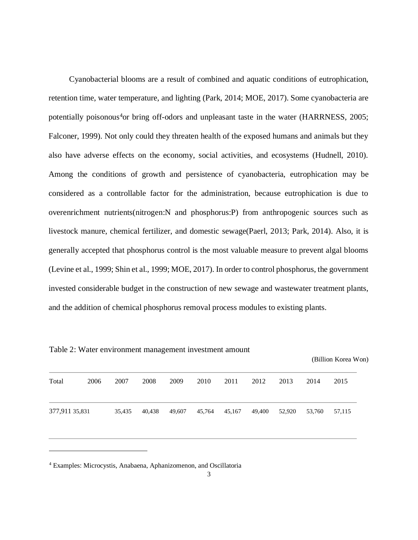Cyanobacterial blooms are a result of combined and aquatic conditions of eutrophication, retention time, water temperature, and lighting (Park, 2014; MOE, 2017). Some cyanobacteria are potentially poisonous<sup>4</sup>or bring off-odors and unpleasant taste in the water (HARRNESS, 2005; Falconer, 1999). Not only could they threaten health of the exposed humans and animals but they also have adverse effects on the economy, social activities, and ecosystems (Hudnell, 2010). Among the conditions of growth and persistence of cyanobacteria, eutrophication may be considered as a controllable factor for the administration, because eutrophication is due to overenrichment nutrients(nitrogen:N and phosphorus:P) from anthropogenic sources such as livestock manure, chemical fertilizer, and domestic sewage(Paerl, 2013; Park, 2014). Also, it is generally accepted that phosphorus control is the most valuable measure to prevent algal blooms (Levine et al., 1999; Shin et al., 1999; MOE, 2017). In order to control phosphorus, the government invested considerable budget in the construction of new sewage and wastewater treatment plants, and the addition of chemical phosphorus removal process modules to existing plants.

|                |      |        |        |        |        |        |        |        |        | (Billion Korea Won) |
|----------------|------|--------|--------|--------|--------|--------|--------|--------|--------|---------------------|
| Total          | 2006 | 2007   | 2008   | 2009   | 2010   | 2011   | 2012   | 2013   | 2014   | 2015                |
| 377,911 35,831 |      | 35,435 | 40,438 | 49,607 | 45,764 | 45,167 | 49,400 | 52,920 | 53,760 | 57,115              |
|                |      |        |        |        |        |        |        |        |        |                     |

Table 2: Water environment management investment amount

<sup>4</sup> Examples: Microcystis, Anabaena, Aphanizomenon, and Oscillatoria

 $\overline{a}$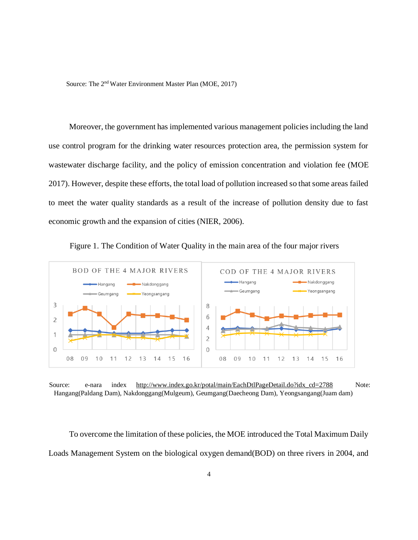Source: The 2nd Water Environment Master Plan (MOE, 2017)

Moreover, the government has implemented various management policies including the land use control program for the drinking water resources protection area, the permission system for wastewater discharge facility, and the policy of emission concentration and violation fee (MOE 2017). However, despite these efforts, the total load of pollution increased so that some areas failed to meet the water quality standards as a result of the increase of pollution density due to fast economic growth and the expansion of cities (NIER, 2006).



Figure 1. The Condition of Water Quality in the main area of the four major rivers

Source: e-nara index http://www.index.go.kr/potal/main/EachDtlPageDetail.do?idx cd=2788 Note: Hangang(Paldang Dam), Nakdonggang(Mulgeum), Geumgang(Daecheong Dam), Yeongsangang(Juam dam)

To overcome the limitation of these policies, the MOE introduced the Total Maximum Daily Loads Management System on the biological oxygen demand(BOD) on three rivers in 2004, and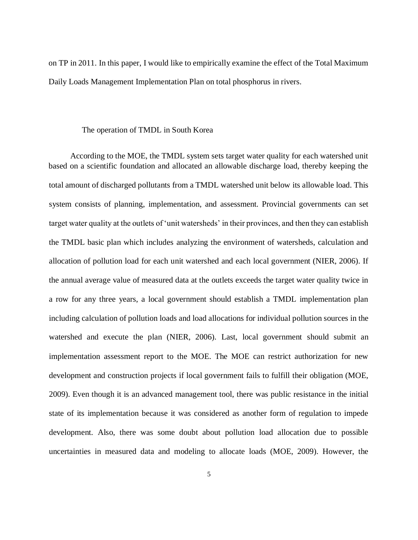on TP in 2011. In this paper, I would like to empirically examine the effect of the Total Maximum Daily Loads Management Implementation Plan on total phosphorus in rivers.

#### The operation of TMDL in South Korea

According to the MOE, the TMDL system sets target water quality for each watershed unit based on a scientific foundation and allocated an allowable discharge load, thereby keeping the total amount of discharged pollutants from a TMDL watershed unit below its allowable load. This system consists of planning, implementation, and assessment. Provincial governments can set target water quality at the outlets of 'unit watersheds' in their provinces, and then they can establish the TMDL basic plan which includes analyzing the environment of watersheds, calculation and allocation of pollution load for each unit watershed and each local government (NIER, 2006). If the annual average value of measured data at the outlets exceeds the target water quality twice in a row for any three years, a local government should establish a TMDL implementation plan including calculation of pollution loads and load allocations for individual pollution sources in the watershed and execute the plan (NIER, 2006). Last, local government should submit an implementation assessment report to the MOE. The MOE can restrict authorization for new development and construction projects if local government fails to fulfill their obligation (MOE, 2009). Even though it is an advanced management tool, there was public resistance in the initial state of its implementation because it was considered as another form of regulation to impede development. Also, there was some doubt about pollution load allocation due to possible uncertainties in measured data and modeling to allocate loads (MOE, 2009). However, the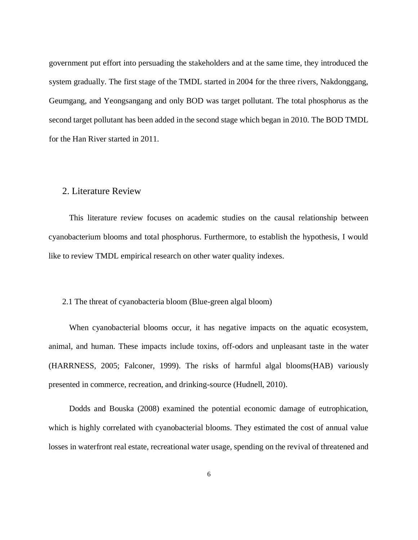government put effort into persuading the stakeholders and at the same time, they introduced the system gradually. The first stage of the TMDL started in 2004 for the three rivers, Nakdonggang, Geumgang, and Yeongsangang and only BOD was target pollutant. The total phosphorus as the second target pollutant has been added in the second stage which began in 2010. The BOD TMDL for the Han River started in 2011.

#### 2. Literature Review

This literature review focuses on academic studies on the causal relationship between cyanobacterium blooms and total phosphorus. Furthermore, to establish the hypothesis, I would like to review TMDL empirical research on other water quality indexes.

#### 2.1 The threat of cyanobacteria bloom (Blue-green algal bloom)

When cyanobacterial blooms occur, it has negative impacts on the aquatic ecosystem, animal, and human. These impacts include toxins, off-odors and unpleasant taste in the water (HARRNESS, 2005; Falconer, 1999). The risks of harmful algal blooms(HAB) variously presented in commerce, recreation, and drinking-source (Hudnell, 2010).

Dodds and Bouska (2008) examined the potential economic damage of eutrophication, which is highly correlated with cyanobacterial blooms. They estimated the cost of annual value losses in waterfront real estate, recreational water usage, spending on the revival of threatened and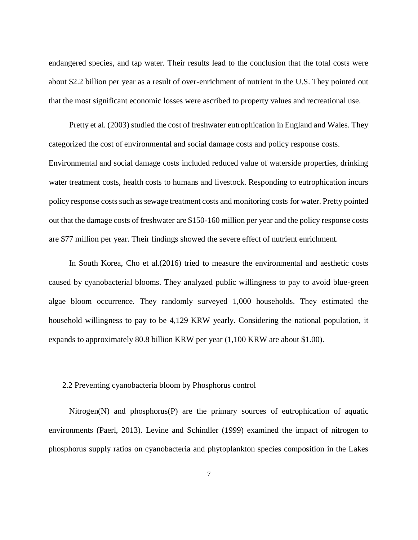endangered species, and tap water. Their results lead to the conclusion that the total costs were about \$2.2 billion per year as a result of over-enrichment of nutrient in the U.S. They pointed out that the most significant economic losses were ascribed to property values and recreational use.

Pretty et al. (2003) studied the cost of freshwater eutrophication in England and Wales. They categorized the cost of environmental and social damage costs and policy response costs. Environmental and social damage costs included reduced value of waterside properties, drinking water treatment costs, health costs to humans and livestock. Responding to eutrophication incurs policy response costs such as sewage treatment costs and monitoring costs for water. Pretty pointed out that the damage costs of freshwater are \$150-160 million per year and the policy response costs are \$77 million per year. Their findings showed the severe effect of nutrient enrichment.

In South Korea, Cho et al.(2016) tried to measure the environmental and aesthetic costs caused by cyanobacterial blooms. They analyzed public willingness to pay to avoid blue-green algae bloom occurrence. They randomly surveyed 1,000 households. They estimated the household willingness to pay to be 4,129 KRW yearly. Considering the national population, it expands to approximately 80.8 billion KRW per year (1,100 KRW are about \$1.00).

#### 2.2 Preventing cyanobacteria bloom by Phosphorus control

Nitrogen(N) and phosphorus(P) are the primary sources of eutrophication of aquatic environments (Paerl, 2013). Levine and Schindler (1999) examined the impact of nitrogen to phosphorus supply ratios on cyanobacteria and phytoplankton species composition in the Lakes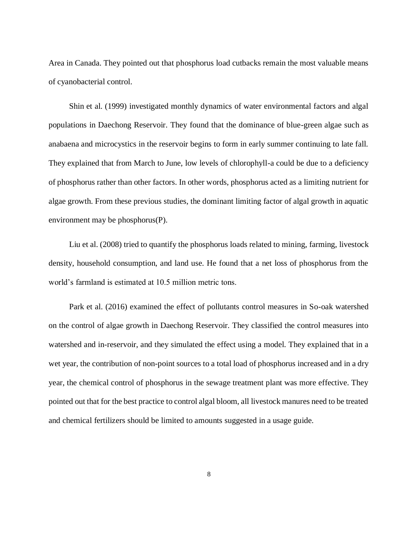Area in Canada. They pointed out that phosphorus load cutbacks remain the most valuable means of cyanobacterial control.

Shin et al. (1999) investigated monthly dynamics of water environmental factors and algal populations in Daechong Reservoir. They found that the dominance of blue-green algae such as anabaena and microcystics in the reservoir begins to form in early summer continuing to late fall. They explained that from March to June, low levels of chlorophyll-a could be due to a deficiency of phosphorus rather than other factors. In other words, phosphorus acted as a limiting nutrient for algae growth. From these previous studies, the dominant limiting factor of algal growth in aquatic environment may be phosphorus(P).

Liu et al. (2008) tried to quantify the phosphorus loads related to mining, farming, livestock density, household consumption, and land use. He found that a net loss of phosphorus from the world's farmland is estimated at 10.5 million metric tons.

Park et al. (2016) examined the effect of pollutants control measures in So-oak watershed on the control of algae growth in Daechong Reservoir. They classified the control measures into watershed and in-reservoir, and they simulated the effect using a model. They explained that in a wet year, the contribution of non-point sources to a total load of phosphorus increased and in a dry year, the chemical control of phosphorus in the sewage treatment plant was more effective. They pointed out that for the best practice to control algal bloom, all livestock manures need to be treated and chemical fertilizers should be limited to amounts suggested in a usage guide.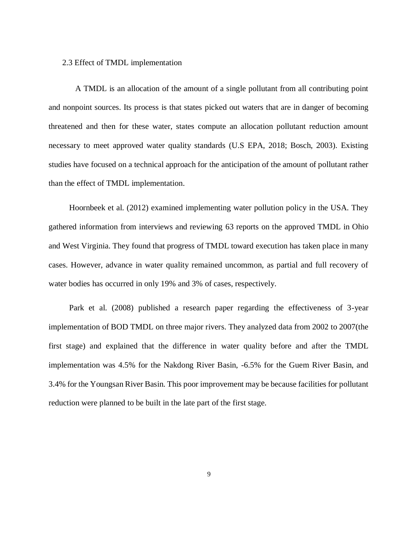#### 2.3 Effect of TMDL implementation

 A TMDL is an allocation of the amount of a single pollutant from all contributing point and nonpoint sources. Its process is that states picked out waters that are in danger of becoming threatened and then for these water, states compute an allocation pollutant reduction amount necessary to meet approved water quality standards (U.S EPA, 2018; Bosch, 2003). Existing studies have focused on a technical approach for the anticipation of the amount of pollutant rather than the effect of TMDL implementation.

Hoornbeek et al. (2012) examined implementing water pollution policy in the USA. They gathered information from interviews and reviewing 63 reports on the approved TMDL in Ohio and West Virginia. They found that progress of TMDL toward execution has taken place in many cases. However, advance in water quality remained uncommon, as partial and full recovery of water bodies has occurred in only 19% and 3% of cases, respectively.

Park et al. (2008) published a research paper regarding the effectiveness of 3-year implementation of BOD TMDL on three major rivers. They analyzed data from 2002 to 2007(the first stage) and explained that the difference in water quality before and after the TMDL implementation was 4.5% for the Nakdong River Basin, -6.5% for the Guem River Basin, and 3.4% for the Youngsan River Basin. This poor improvement may be because facilities for pollutant reduction were planned to be built in the late part of the first stage.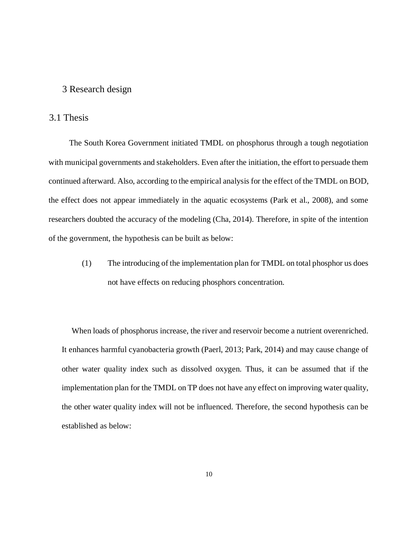#### 3 Research design

#### 3.1 Thesis

The South Korea Government initiated TMDL on phosphorus through a tough negotiation with municipal governments and stakeholders. Even after the initiation, the effort to persuade them continued afterward. Also, according to the empirical analysis for the effect of the TMDL on BOD, the effect does not appear immediately in the aquatic ecosystems (Park et al., 2008), and some researchers doubted the accuracy of the modeling (Cha, 2014). Therefore, in spite of the intention of the government, the hypothesis can be built as below:

> (1) The introducing of the implementation plan for TMDL on total phosphor us does not have effects on reducing phosphors concentration.

 When loads of phosphorus increase, the river and reservoir become a nutrient overenriched. It enhances harmful cyanobacteria growth (Paerl, 2013; Park, 2014) and may cause change of other water quality index such as dissolved oxygen. Thus, it can be assumed that if the implementation plan for the TMDL on TP does not have any effect on improving water quality, the other water quality index will not be influenced. Therefore, the second hypothesis can be established as below: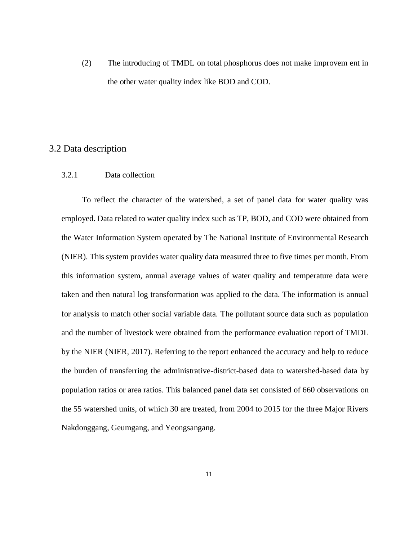(2) The introducing of TMDL on total phosphorus does not make improvem ent in the other water quality index like BOD and COD.

### 3.2 Data description

#### 3.2.1 Data collection

To reflect the character of the watershed, a set of panel data for water quality was employed. Data related to water quality index such as TP, BOD, and COD were obtained from the Water Information System operated by The National Institute of Environmental Research (NIER). This system provides water quality data measured three to five times per month. From this information system, annual average values of water quality and temperature data were taken and then natural log transformation was applied to the data. The information is annual for analysis to match other social variable data. The pollutant source data such as population and the number of livestock were obtained from the performance evaluation report of TMDL by the NIER (NIER, 2017). Referring to the report enhanced the accuracy and help to reduce the burden of transferring the administrative-district-based data to watershed-based data by population ratios or area ratios. This balanced panel data set consisted of 660 observations on the 55 watershed units, of which 30 are treated, from 2004 to 2015 for the three Major Rivers Nakdonggang, Geumgang, and Yeongsangang.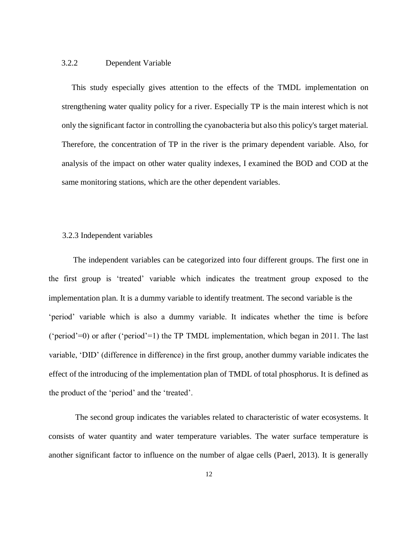#### 3.2.2 Dependent Variable

 This study especially gives attention to the effects of the TMDL implementation on strengthening water quality policy for a river. Especially TP is the main interest which is not only the significant factor in controlling the cyanobacteria but also this policy's target material. Therefore, the concentration of TP in the river is the primary dependent variable. Also, for analysis of the impact on other water quality indexes, I examined the BOD and COD at the same monitoring stations, which are the other dependent variables.

#### 3.2.3 Independent variables

The independent variables can be categorized into four different groups. The first one in the first group is 'treated' variable which indicates the treatment group exposed to the implementation plan. It is a dummy variable to identify treatment. The second variable is the 'period' variable which is also a dummy variable. It indicates whether the time is before ('period'=0) or after ('period'=1) the TP TMDL implementation, which began in 2011. The last variable, 'DID' (difference in difference) in the first group, another dummy variable indicates the effect of the introducing of the implementation plan of TMDL of total phosphorus. It is defined as the product of the 'period' and the 'treated'.

The second group indicates the variables related to characteristic of water ecosystems. It consists of water quantity and water temperature variables. The water surface temperature is another significant factor to influence on the number of algae cells (Paerl, 2013). It is generally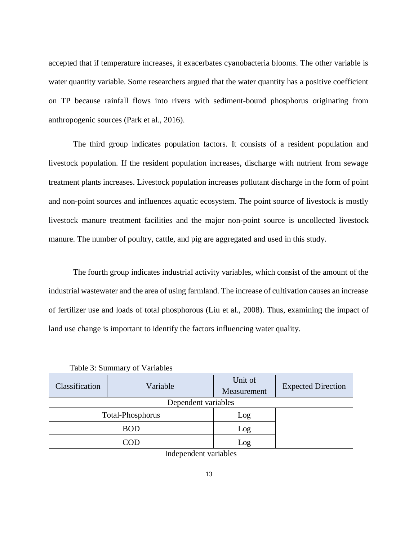accepted that if temperature increases, it exacerbates cyanobacteria blooms. The other variable is water quantity variable. Some researchers argued that the water quantity has a positive coefficient on TP because rainfall flows into rivers with sediment-bound phosphorus originating from anthropogenic sources (Park et al., 2016).

The third group indicates population factors. It consists of a resident population and livestock population. If the resident population increases, discharge with nutrient from sewage treatment plants increases. Livestock population increases pollutant discharge in the form of point and non-point sources and influences aquatic ecosystem. The point source of livestock is mostly livestock manure treatment facilities and the major non-point source is uncollected livestock manure. The number of poultry, cattle, and pig are aggregated and used in this study.

The fourth group indicates industrial activity variables, which consist of the amount of the industrial wastewater and the area of using farmland. The increase of cultivation causes an increase of fertilizer use and loads of total phosphorous (Liu et al., 2008). Thus, examining the impact of land use change is important to identify the factors influencing water quality.

| Classification | Variable            | Unit of<br>Measurement | <b>Expected Direction</b> |
|----------------|---------------------|------------------------|---------------------------|
|                | Dependent variables |                        |                           |
|                | Total-Phosphorus    | Log                    |                           |
|                | <b>BOD</b>          | Log                    |                           |
|                | `OF                 | Log                    |                           |

Table 3: Summary of Variables

Independent variables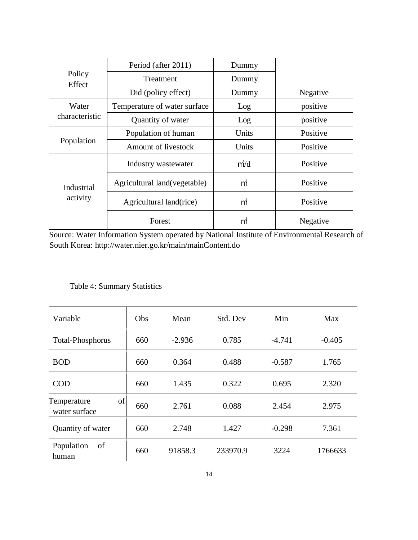|                        | Period (after 2011)           | Dummy |          |
|------------------------|-------------------------------|-------|----------|
| Policy                 | Treatment                     | Dummy |          |
| Effect                 | Did (policy effect)           | Dummy | Negative |
| Water                  | Temperature of water surface  | Log   | positive |
| characteristic         | Quantity of water             | Log   | positive |
|                        | Population of human           | Units | Positive |
| Population             | Amount of livestock           | Units | Positive |
|                        | Industry wastewater           | m/d   | Positive |
| Industrial<br>activity | Agricultural land (vegetable) | m     | Positive |
|                        | Agricultural land(rice)       | m     | Positive |
|                        | Forest                        | m     | Negative |

Source: Water Information System operated by National Institute of Environmental Research of South Korea: http://water.nier.go.kr/main/mainContent.do

# Table 4: Summary Statistics

| Variable                           | Obs | Mean     | Std. Dev | Min      | Max      |
|------------------------------------|-----|----------|----------|----------|----------|
| <b>Total-Phosphorus</b>            | 660 | $-2.936$ | 0.785    | $-4.741$ | $-0.405$ |
| <b>BOD</b>                         | 660 | 0.364    | 0.488    | $-0.587$ | 1.765    |
| <b>COD</b>                         | 660 | 1.435    | 0.322    | 0.695    | 2.320    |
| of<br>Temperature<br>water surface | 660 | 2.761    | 0.088    | 2.454    | 2.975    |
| Quantity of water                  | 660 | 2.748    | 1.427    | $-0.298$ | 7.361    |
| Population<br>of<br>human          | 660 | 91858.3  | 233970.9 | 3224     | 1766633  |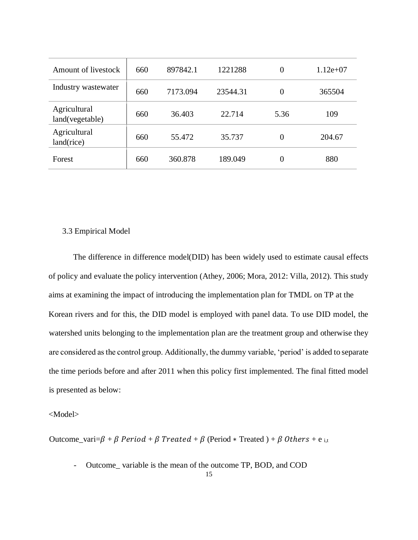| Amount of livestock             | 660 | 897842.1 | 1221288  | 0              | $1.12e+07$ |
|---------------------------------|-----|----------|----------|----------------|------------|
| Industry wastewater             | 660 | 7173.094 | 23544.31 | 0              | 365504     |
| Agricultural<br>land(vegetable) | 660 | 36.403   | 22.714   | 5.36           | 109        |
| Agricultural<br>land(rice)      | 660 | 55.472   | 35.737   | $\overline{0}$ | 204.67     |
| Forest                          | 660 | 360.878  | 189.049  | 0              | 880        |

#### 3.3 Empirical Model

The difference in difference model(DID) has been widely used to estimate causal effects of policy and evaluate the policy intervention (Athey, 2006; Mora, 2012: Villa, 2012). This study aims at examining the impact of introducing the implementation plan for TMDL on TP at the Korean rivers and for this, the DID model is employed with panel data. To use DID model, the watershed units belonging to the implementation plan are the treatment group and otherwise they are considered as the control group. Additionally, the dummy variable, 'period' is added to separate the time periods before and after 2011 when this policy first implemented. The final fitted model is presented as below:

#### <Model>

Outcome\_vari= $\beta + \beta$  Period +  $\beta$  Treated +  $\beta$  (Period \* Treated ) +  $\beta$  Others + e i,t

- Outcome variable is the mean of the outcome TP, BOD, and COD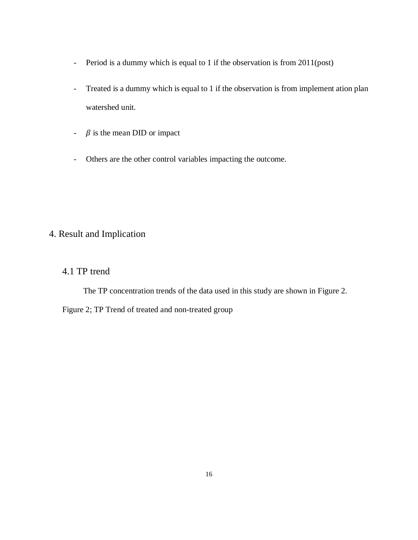- Period is a dummy which is equal to 1 if the observation is from 2011(post)
- Treated is a dummy which is equal to 1 if the observation is from implement ation plan watershed unit.
- $\beta$  is the mean DID or impact
- Others are the other control variables impacting the outcome.

# 4. Result and Implication

## 4.1 TP trend

The TP concentration trends of the data used in this study are shown in Figure 2.

Figure 2; TP Trend of treated and non-treated group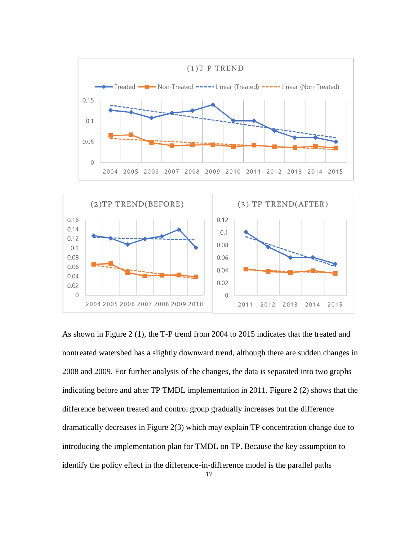

 $0.02$ 

 $\overline{0}$ 

2011

2012

2013

2014

2015

 $0.02$  $\bigcap$ 

2004 2005 2006 2007 2008 2009 2010

As shown in Figure 2 (1), the T-P trend from 2004 to 2015 indicates that the treated and nontreated watershed has a slightly downward trend, although there are sudden changes in 2008 and 2009. For further analysis of the changes, the data is separated into two graphs indicating before and after TP TMDL implementation in 2011. Figure 2 (2) shows that the difference between treated and control group gradually increases but the difference dramatically decreases in Figure 2(3) which may explain TP concentration change due to introducing the implementation plan for TMDL on TP. Because the key assumption to identify the policy effect in the difference-in-difference model is the parallel paths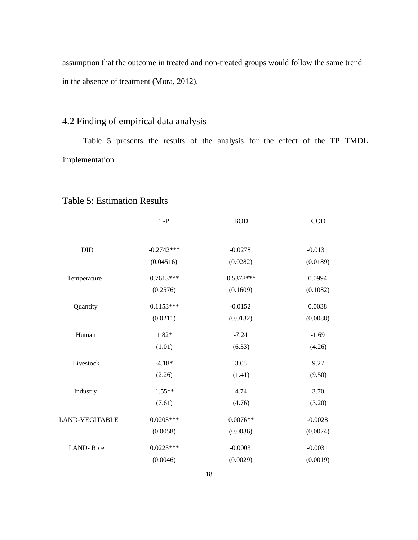assumption that the outcome in treated and non-treated groups would follow the same trend in the absence of treatment (Mora, 2012).

# 4.2 Finding of empirical data analysis

Table 5 presents the results of the analysis for the effect of the TP TMDL implementation.

|                       | $T-P$                    | <b>BOD</b>            | <b>COD</b>         |
|-----------------------|--------------------------|-----------------------|--------------------|
| DID                   | $-0.2742***$             | $-0.0278$             | $-0.0131$          |
| Temperature           | (0.04516)<br>$0.7613***$ | (0.0282)<br>0.5378*** | (0.0189)<br>0.0994 |
|                       | (0.2576)                 | (0.1609)              | (0.1082)           |
| Quantity              | $0.1153***$              | $-0.0152$             | 0.0038             |
|                       | (0.0211)                 | (0.0132)              | (0.0088)           |
| Human                 | 1.82*                    | $-7.24$               | $-1.69$            |
|                       | (1.01)                   | (6.33)                | (4.26)             |
| Livestock             | $-4.18*$                 | 3.05                  | 9.27               |
|                       | (2.26)                   | (1.41)                | (9.50)             |
| Industry              | $1.55**$                 | 4.74                  | 3.70               |
|                       | (7.61)                   | (4.76)                | (3.20)             |
| <b>LAND-VEGITABLE</b> | $0.0203***$              | $0.0076**$            | $-0.0028$          |
|                       | (0.0058)                 | (0.0036)              | (0.0024)           |
| <b>LAND-Rice</b>      | $0.0225***$              | $-0.0003$             | $-0.0031$          |
|                       | (0.0046)                 | (0.0029)              | (0.0019)           |

### Table 5: Estimation Results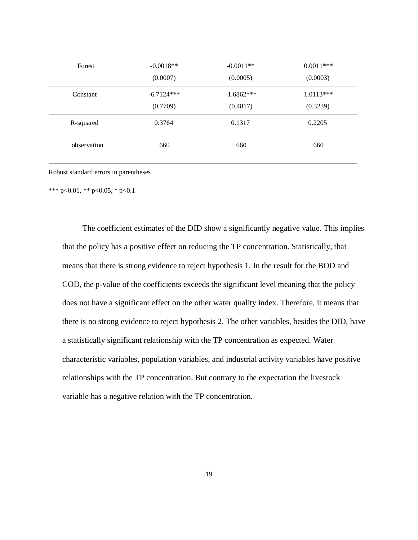| Forest      | $-0.0018**$  | $-0.0011**$  | $0.0011***$ |
|-------------|--------------|--------------|-------------|
|             | (0.0007)     | (0.0005)     | (0.0003)    |
| Constant    | $-6.7124***$ | $-1.6862***$ | $1.0113***$ |
|             | (0.7709)     | (0.4817)     | (0.3239)    |
| R-squared   | 0.3764       | 0.1317       | 0.2205      |
| observation | 660          | 660          | 660         |

Robust standard errors in parentheses

\*\*\* p<0.01, \*\* p<0.05, \* p<0.1

The coefficient estimates of the DID show a significantly negative value. This implies that the policy has a positive effect on reducing the TP concentration. Statistically, that means that there is strong evidence to reject hypothesis 1. In the result for the BOD and COD, the p-value of the coefficients exceeds the significant level meaning that the policy does not have a significant effect on the other water quality index. Therefore, it means that there is no strong evidence to reject hypothesis 2. The other variables, besides the DID, have a statistically significant relationship with the TP concentration as expected. Water characteristic variables, population variables, and industrial activity variables have positive relationships with the TP concentration. But contrary to the expectation the livestock variable has a negative relation with the TP concentration.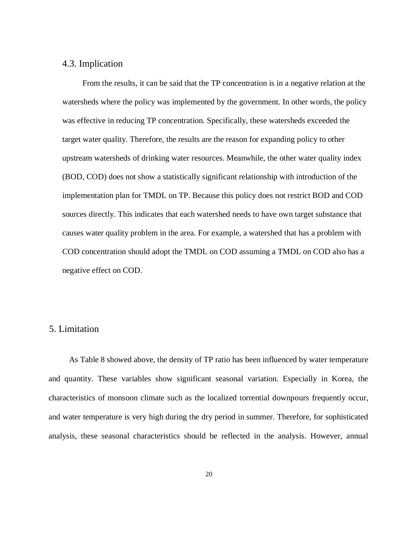#### 4.3. Implication

From the results, it can be said that the TP concentration is in a negative relation at the watersheds where the policy was implemented by the government. In other words, the policy was effective in reducing TP concentration. Specifically, these watersheds exceeded the target water quality. Therefore, the results are the reason for expanding policy to other upstream watersheds of drinking water resources. Meanwhile, the other water quality index (BOD, COD) does not show a statistically significant relationship with introduction of the implementation plan for TMDL on TP. Because this policy does not restrict BOD and COD sources directly. This indicates that each watershed needs to have own target substance that causes water quality problem in the area. For example, a watershed that has a problem with COD concentration should adopt the TMDL on COD assuming a TMDL on COD also has a negative effect on COD.

#### 5. Limitation

As Table 8 showed above, the density of TP ratio has been influenced by water temperature and quantity. These variables show significant seasonal variation. Especially in Korea, the characteristics of monsoon climate such as the localized torrential downpours frequently occur, and water temperature is very high during the dry period in summer. Therefore, for sophisticated analysis, these seasonal characteristics should be reflected in the analysis. However, annual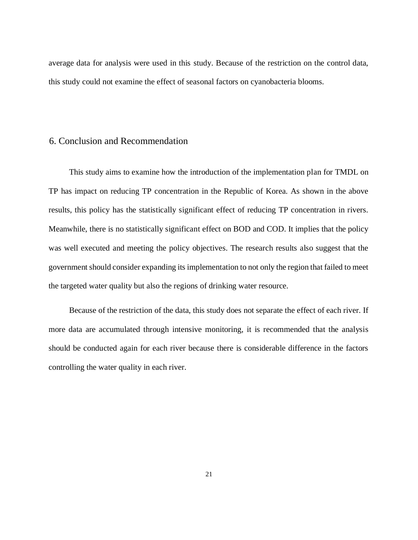average data for analysis were used in this study. Because of the restriction on the control data, this study could not examine the effect of seasonal factors on cyanobacteria blooms.

#### 6. Conclusion and Recommendation

This study aims to examine how the introduction of the implementation plan for TMDL on TP has impact on reducing TP concentration in the Republic of Korea. As shown in the above results, this policy has the statistically significant effect of reducing TP concentration in rivers. Meanwhile, there is no statistically significant effect on BOD and COD. It implies that the policy was well executed and meeting the policy objectives. The research results also suggest that the government should consider expanding its implementation to not only the region that failed to meet the targeted water quality but also the regions of drinking water resource.

Because of the restriction of the data, this study does not separate the effect of each river. If more data are accumulated through intensive monitoring, it is recommended that the analysis should be conducted again for each river because there is considerable difference in the factors controlling the water quality in each river.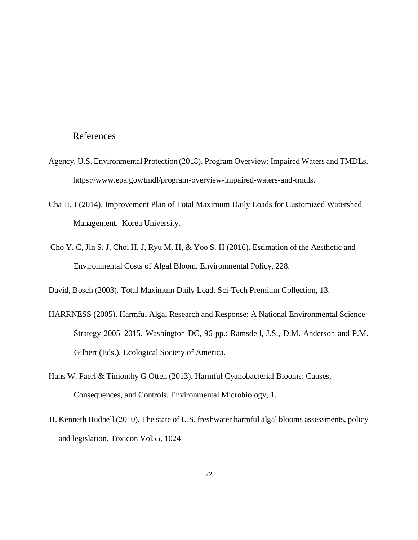#### References

- Agency, U.S. Environmental Protection (2018). Program Overview: Impaired Waters and TMDLs. https://www.epa.gov/tmdl/program-overview-impaired-waters-and-tmdls.
- Cha H. J (2014). Improvement Plan of Total Maximum Daily Loads for Customized Watershed Management. Korea University.
- Cho Y. C, Jin S. J, Choi H. J, Ryu M. H, & Yoo S. H (2016). Estimation of the Aesthetic and Environmental Costs of Algal Bloom. Environmental Policy, 228.

David, Bosch (2003). Total Maximum Daily Load. Sci-Tech Premium Collection, 13.

- HARRNESS (2005). Harmful Algal Research and Response: A National Environmental Science Strategy 2005–2015. Washington DC, 96 pp.: Ramsdell, J.S., D.M. Anderson and P.M. Gilbert (Eds.), Ecological Society of America.
- Hans W. Paerl & Timonthy G Otten (2013). Harmful Cyanobacterial Blooms: Causes, Consequences, and Controls. Environmental Microbiology, 1.
- H. Kenneth Hudnell (2010). The state of U.S. freshwater harmful algal blooms assessments, policy and legislation. Toxicon Vol55, 1024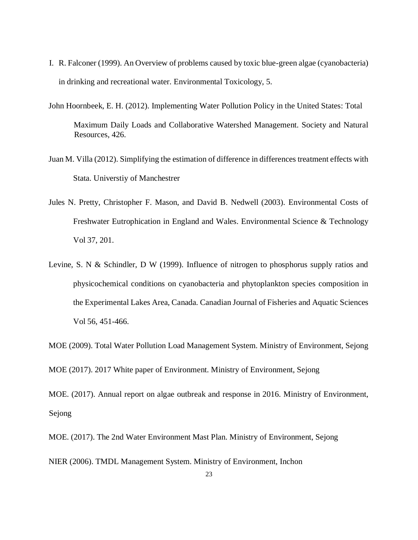- I. R. Falconer (1999). An Overview of problems caused by toxic blue-green algae (cyanobacteria) in drinking and recreational water. Environmental Toxicology, 5.
- John Hoornbeek, E. H. (2012). Implementing Water Pollution Policy in the United States: Total Maximum Daily Loads and Collaborative Watershed Management. Society and Natural Resources, 426.
- Juan M. Villa (2012). Simplifying the estimation of difference in differences treatment effects with Stata. Universtiy of Manchestrer
- Jules N. Pretty, Christopher F. Mason, and David B. Nedwell (2003). Environmental Costs of Freshwater Eutrophication in England and Wales. Environmental Science & Technology Vol 37, 201.
- Levine, S. N & Schindler, D W (1999). Influence of nitrogen to phosphorus supply ratios and physicochemical conditions on cyanobacteria and phytoplankton species composition in the Experimental Lakes Area, Canada. Canadian Journal of Fisheries and Aquatic Sciences Vol 56, 451-466.

MOE (2009). Total Water Pollution Load Management System. Ministry of Environment, Sejong

MOE (2017). 2017 White paper of Environment. Ministry of Environment, Sejong

MOE. (2017). Annual report on algae outbreak and response in 2016. Ministry of Environment, Sejong

MOE. (2017). The 2nd Water Environment Mast Plan. Ministry of Environment, Sejong

NIER (2006). TMDL Management System. Ministry of Environment, Inchon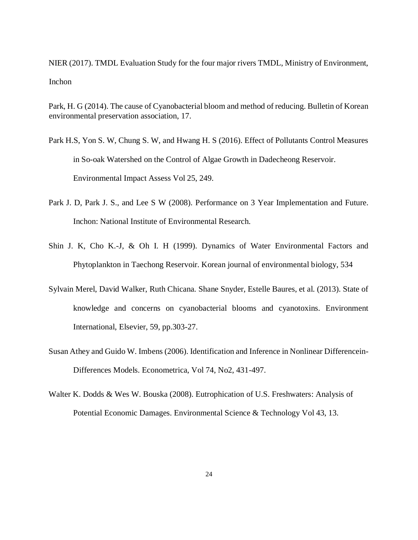NIER (2017). TMDL Evaluation Study for the four major rivers TMDL, Ministry of Environment, Inchon

Park, H. G (2014). The cause of Cyanobacterial bloom and method of reducing. Bulletin of Korean environmental preservation association, 17.

- Park H.S, Yon S. W, Chung S. W, and Hwang H. S (2016). Effect of Pollutants Control Measures in So-oak Watershed on the Control of Algae Growth in Dadecheong Reservoir. Environmental Impact Assess Vol 25, 249.
- Park J. D, Park J. S., and Lee S W (2008). Performance on 3 Year Implementation and Future. Inchon: National Institute of Environmental Research.
- Shin J. K, Cho K.-J, & Oh I. H (1999). Dynamics of Water Environmental Factors and Phytoplankton in Taechong Reservoir. Korean journal of environmental biology, 534
- Sylvain Merel, David Walker, Ruth Chicana. Shane Snyder, Estelle Baures, et al. (2013). State of knowledge and concerns on cyanobacterial blooms and cyanotoxins. Environment International, Elsevier, 59, pp.303-27.
- Susan Athey and Guido W. Imbens (2006). Identification and Inference in Nonlinear Differencein-Differences Models. Econometrica, Vol 74, No2, 431-497.
- Walter K. Dodds & Wes W. Bouska (2008). Eutrophication of U.S. Freshwaters: Analysis of Potential Economic Damages. Environmental Science & Technology Vol 43, 13.